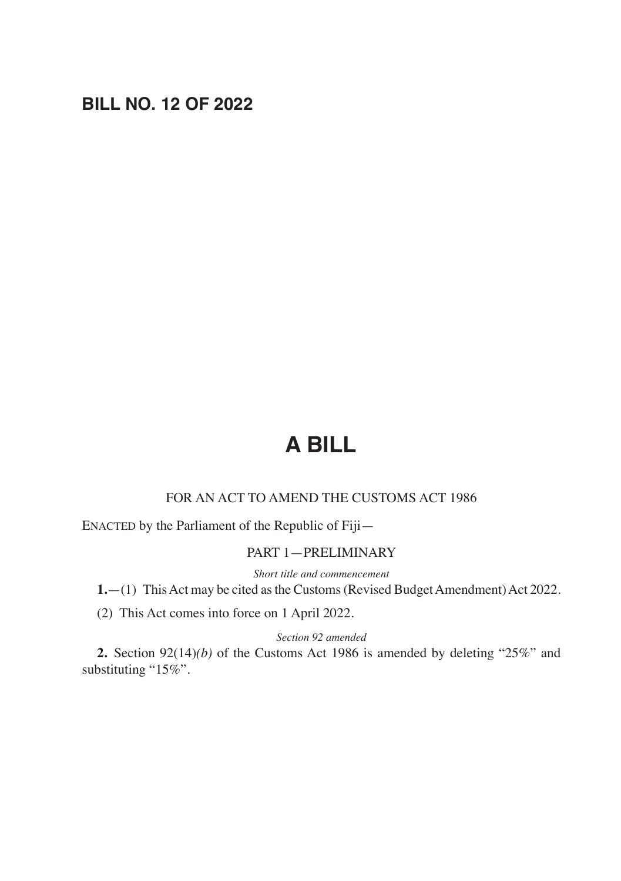# **BILL NO. 12 OF 2022**

# **A BILL**

## FOR AN ACT TO AMEND THE CUSTOMS ACT 1986

ENACTED by the Parliament of the Republic of Fiji—

#### PART 1—PRELIMINARY

*Short title and commencement*

**1.**—(1) This Act may be cited as the Customs (Revised Budget Amendment) Act 2022.

(2) This Act comes into force on 1 April 2022.

#### *Section 92 amended*

**2.** Section 92(14)*(b)* of the Customs Act 1986 is amended by deleting "25%" and substituting "15%".